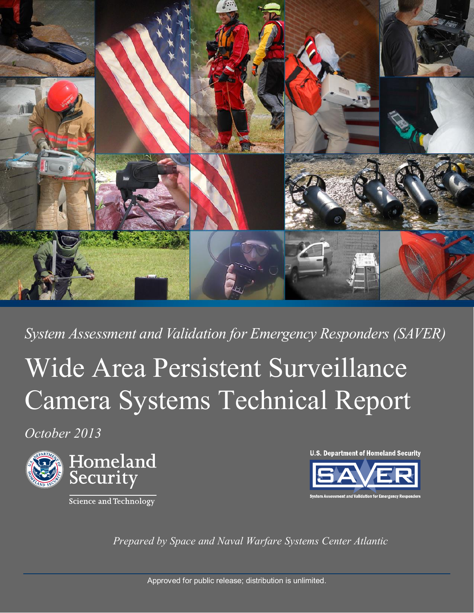

*System Assessment and Validation for Emergency Responders (SAVER)*

# Wide Area Persistent Surveillance Camera Systems Technical Report

*October 2013* 



Science and Technology

**U.S. Department of Homeland Security** 



*Prepared by Space and Naval Warfare Systems Center Atlantic*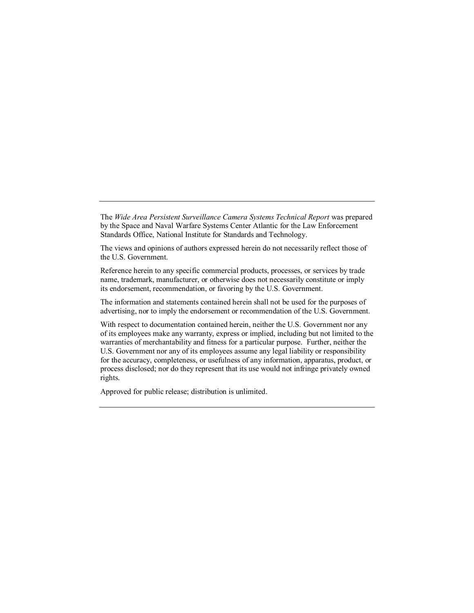The *Wide Area Persistent Surveillance Camera Systems Technical Report* was prepared by the Space and Naval Warfare Systems Center Atlantic for the Law Enforcement Standards Office, National Institute for Standards and Technology.

The views and opinions of authors expressed herein do not necessarily reflect those of the U.S. Government.

Reference herein to any specific commercial products, processes, or services by trade name, trademark, manufacturer, or otherwise does not necessarily constitute or imply its endorsement, recommendation, or favoring by the U.S. Government.

The information and statements contained herein shall not be used for the purposes of advertising, nor to imply the endorsement or recommendation of the U.S. Government.

With respect to documentation contained herein, neither the U.S. Government nor any of its employees make any warranty, express or implied, including but not limited to the warranties of merchantability and fitness for a particular purpose. Further, neither the U.S. Government nor any of its employees assume any legal liability or responsibility for the accuracy, completeness, or usefulness of any information, apparatus, product, or process disclosed; nor do they represent that its use would not infringe privately owned rights.

Approved for public release; distribution is unlimited.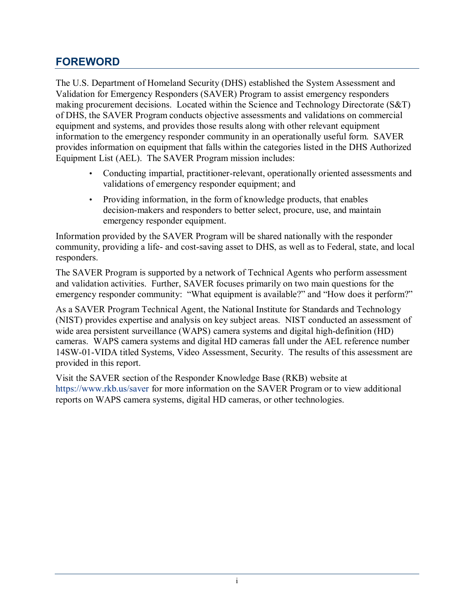#### <span id="page-2-0"></span>**FOREWORD**

The U.S. Department of Homeland Security (DHS) established the System Assessment and Validation for Emergency Responders (SAVER) Program to assist emergency responders making procurement decisions. Located within the Science and Technology Directorate (S&T) of DHS, the SAVER Program conducts objective assessments and validations on commercial equipment and systems, and provides those results along with other relevant equipment information to the emergency responder community in an operationally useful form. SAVER provides information on equipment that falls within the categories listed in the DHS Authorized Equipment List (AEL). The SAVER Program mission includes:

- Conducting impartial, practitioner-relevant, operationally oriented assessments and validations of emergency responder equipment; and
- Providing information, in the form of knowledge products, that enables decision-makers and responders to better select, procure, use, and maintain emergency responder equipment.

Information provided by the SAVER Program will be shared nationally with the responder community, providing a life- and cost-saving asset to DHS, as well as to Federal, state, and local responders.

The SAVER Program is supported by a network of Technical Agents who perform assessment and validation activities. Further, SAVER focuses primarily on two main questions for the emergency responder community: "What equipment is available?" and "How does it perform?"

As a SAVER Program Technical Agent, the National Institute for Standards and Technology (NIST) provides expertise and analysis on key subject areas. NIST conducted an assessment of wide area persistent surveillance (WAPS) camera systems and digital high-definition (HD) cameras. WAPS camera systems and digital HD cameras fall under the AEL reference number 14SW-01-VIDA titled Systems, Video Assessment, Security. The results of this assessment are provided in this report.

Visit the SAVER section of the Responder Knowledge Base (RKB) website at [https://www.rkb.us/saver](www.firstresponder.gov/saver) for more information on the SAVER Program or to view additional reports on WAPS camera systems, digital HD cameras, or other technologies.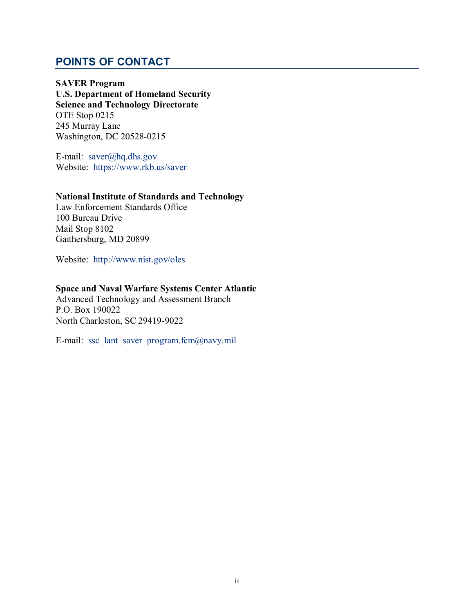#### <span id="page-3-0"></span>**POINTS OF CONTACT**

**SAVER Program U.S. Department of Homeland Security Science and Technology Directorate**  OTE Stop 0215 245 Murray Lane Washington, DC 20528-0215

E-mail: [saver@hq.dhs.gov](mailto:saver@hq.dhs.gov) Website: [https://www.rkb.us/saver](www.firstresponder.gov/saver)

#### **National Institute of Standards and Technology**

Law Enforcement Standards Office 100 Bureau Drive Mail Stop 8102 Gaithersburg, MD 20899

Website: <http://www.nist.gov/oles>

#### **Space and Naval Warfare Systems Center Atlantic**

Advanced Technology and Assessment Branch P.O. Box 190022 North Charleston, SC 29419-9022

E-mail: ssc\_lant\_saver\_program.fcm@navy.mil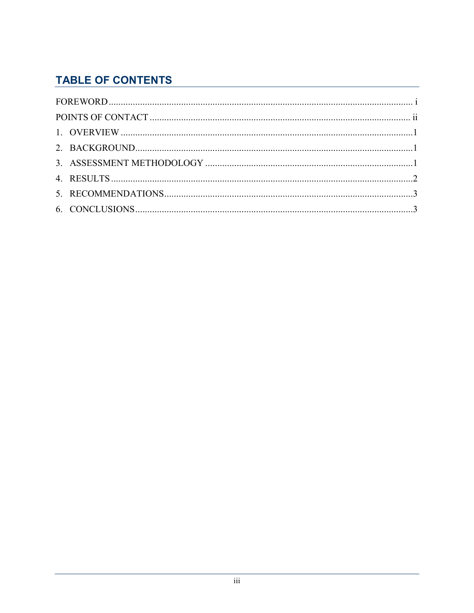# **TABLE OF CONTENTS**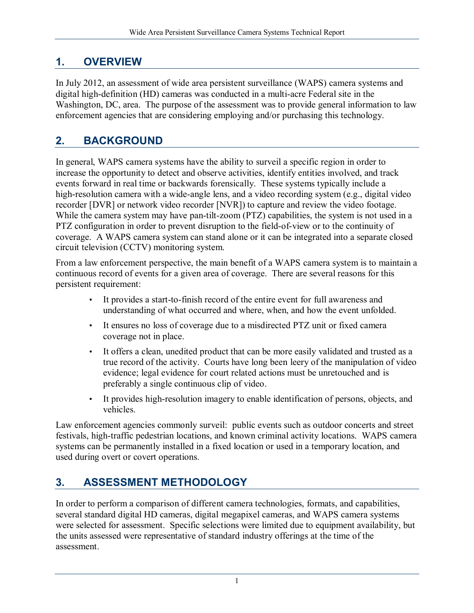## <span id="page-5-0"></span>**1. OVERVIEW**

In July 2012, an assessment of wide area persistent surveillance (WAPS) camera systems and digital high-definition (HD) cameras was conducted in a multi-acre Federal site in the Washington, DC, area. The purpose of the assessment was to provide general information to law enforcement agencies that are considering employing and/or purchasing this technology.

## <span id="page-5-1"></span>**2. BACKGROUND**

In general, WAPS camera systems have the ability to surveil a specific region in order to increase the opportunity to detect and observe activities, identify entities involved, and track events forward in real time or backwards forensically. These systems typically include a high-resolution camera with a wide-angle lens, and a video recording system (e.g., digital video recorder [DVR] or network video recorder [NVR]) to capture and review the video footage. While the camera system may have pan-tilt-zoom (PTZ) capabilities, the system is not used in a PTZ configuration in order to prevent disruption to the field-of-view or to the continuity of coverage. A WAPS camera system can stand alone or it can be integrated into a separate closed circuit television (CCTV) monitoring system.

From a law enforcement perspective, the main benefit of a WAPS camera system is to maintain a continuous record of events for a given area of coverage. There are several reasons for this persistent requirement:

- It provides a start-to-finish record of the entire event for full awareness and understanding of what occurred and where, when, and how the event unfolded.
- It ensures no loss of coverage due to a misdirected PTZ unit or fixed camera coverage not in place.
- It offers a clean, unedited product that can be more easily validated and trusted as a true record of the activity. Courts have long been leery of the manipulation of video evidence; legal evidence for court related actions must be unretouched and is preferably a single continuous clip of video.
- It provides high-resolution imagery to enable identification of persons, objects, and vehicles.

Law enforcement agencies commonly surveil: public events such as outdoor concerts and street festivals, high-traffic pedestrian locations, and known criminal activity locations. WAPS camera systems can be permanently installed in a fixed location or used in a temporary location, and used during overt or covert operations.

# <span id="page-5-2"></span>**3. ASSESSMENT METHODOLOGY**

In order to perform a comparison of different camera technologies, formats, and capabilities, several standard digital HD cameras, digital megapixel cameras, and WAPS camera systems were selected for assessment. Specific selections were limited due to equipment availability, but the units assessed were representative of standard industry offerings at the time of the assessment.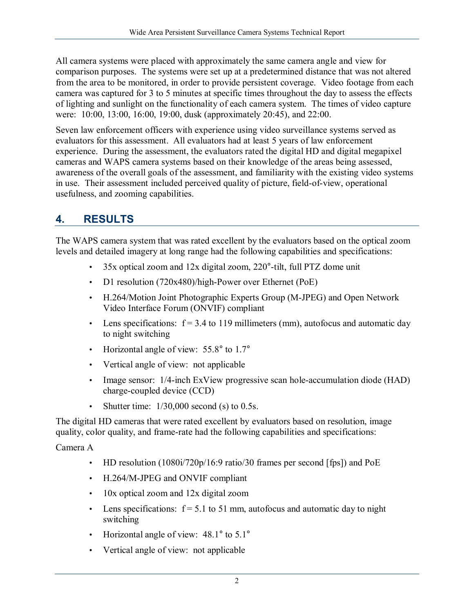All camera systems were placed with approximately the same camera angle and view for comparison purposes. The systems were set up at a predetermined distance that was not altered from the area to be monitored, in order to provide persistent coverage. Video footage from each camera was captured for 3 to 5 minutes at specific times throughout the day to assess the effects of lighting and sunlight on the functionality of each camera system. The times of video capture were: 10:00, 13:00, 16:00, 19:00, dusk (approximately 20:45), and 22:00.

Seven law enforcement officers with experience using video surveillance systems served as evaluators for this assessment. All evaluators had at least 5 years of law enforcement experience. During the assessment, the evaluators rated the digital HD and digital megapixel cameras and WAPS camera systems based on their knowledge of the areas being assessed, awareness of the overall goals of the assessment, and familiarity with the existing video systems in use. Their assessment included perceived quality of picture, field-of-view, operational usefulness, and zooming capabilities.

## <span id="page-6-0"></span>**4. RESULTS**

The WAPS camera system that was rated excellent by the evaluators based on the optical zoom levels and detailed imagery at long range had the following capabilities and specifications:

- 35x optical zoom and 12x digital zoom, 220°-tilt, full PTZ dome unit
- D1 resolution (720x480)/high-Power over Ethernet (PoE)
- H.264/Motion Joint Photographic Experts Group (M-JPEG) and Open Network Video Interface Forum (ONVIF) compliant
- Lens specifications:  $f = 3.4$  to 119 millimeters (mm), autofocus and automatic day to night switching
- Horizontal angle of view: 55.8° to 1.7°
- Vertical angle of view: not applicable
- Image sensor:  $1/4$ -inch ExView progressive scan hole-accumulation diode (HAD) charge-coupled device (CCD)
- Shutter time:  $1/30,000$  second (s) to 0.5s.

The digital HD cameras that were rated excellent by evaluators based on resolution, image quality, color quality, and frame-rate had the following capabilities and specifications:

Camera A

- HD resolution (1080i/720p/16:9 ratio/30 frames per second [fps]) and PoE
- H.264/M-JPEG and ONVIF compliant
- 10x optical zoom and 12x digital zoom
- Lens specifications:  $f = 5.1$  to 51 mm, autofocus and automatic day to night switching
- Horizontal angle of view: 48.1° to 5.1°
- Vertical angle of view: not applicable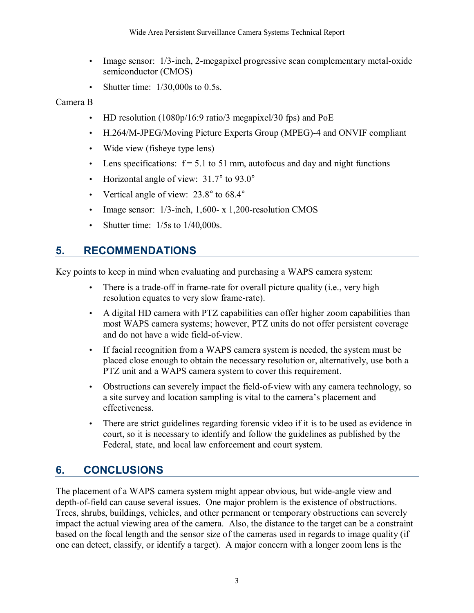- Image sensor: 1/3-inch, 2-megapixel progressive scan complementary metal-oxide semiconductor (CMOS)
- Shutter time:  $1/30,000s$  to 0.5s.

#### Camera B

- HD resolution (1080p/16:9 ratio/3 megapixel/30 fps) and PoE
- H.264/M-JPEG/Moving Picture Experts Group (MPEG)-4 and ONVIF compliant
- Wide view (fisheye type lens)
- Lens specifications:  $f = 5.1$  to 51 mm, autofocus and day and night functions
- Horizontal angle of view:  $31.7^{\circ}$  to  $93.0^{\circ}$
- Vertical angle of view: 23.8° to 68.4°
- Image sensor: 1/3-inch, 1,600- x 1,200-resolution CMOS
- Shutter time:  $1/5s$  to  $1/40,000s$ .

## <span id="page-7-0"></span>**5. RECOMMENDATIONS**

Key points to keep in mind when evaluating and purchasing a WAPS camera system:

- There is a trade-off in frame-rate for overall picture quality (i.e., very high resolution equates to very slow frame-rate).
- A digital HD camera with PTZ capabilities can offer higher zoom capabilities than most WAPS camera systems; however, PTZ units do not offer persistent coverage and do not have a wide field-of-view.
- If facial recognition from a WAPS camera system is needed, the system must be placed close enough to obtain the necessary resolution or, alternatively, use both a PTZ unit and a WAPS camera system to cover this requirement.
- Obstructions can severely impact the field-of-view with any camera technology, so a site survey and location sampling is vital to the camera's placement and effectiveness.
- There are strict guidelines regarding forensic video if it is to be used as evidence in court, so it is necessary to identify and follow the guidelines as published by the Federal, state, and local law enforcement and court system.

# <span id="page-7-1"></span>**6. CONCLUSIONS**

The placement of a WAPS camera system might appear obvious, but wide-angle view and depth-of-field can cause several issues. One major problem is the existence of obstructions. Trees, shrubs, buildings, vehicles, and other permanent or temporary obstructions can severely impact the actual viewing area of the camera. Also, the distance to the target can be a constraint based on the focal length and the sensor size of the cameras used in regards to image quality (if one can detect, classify, or identify a target). A major concern with a longer zoom lens is the